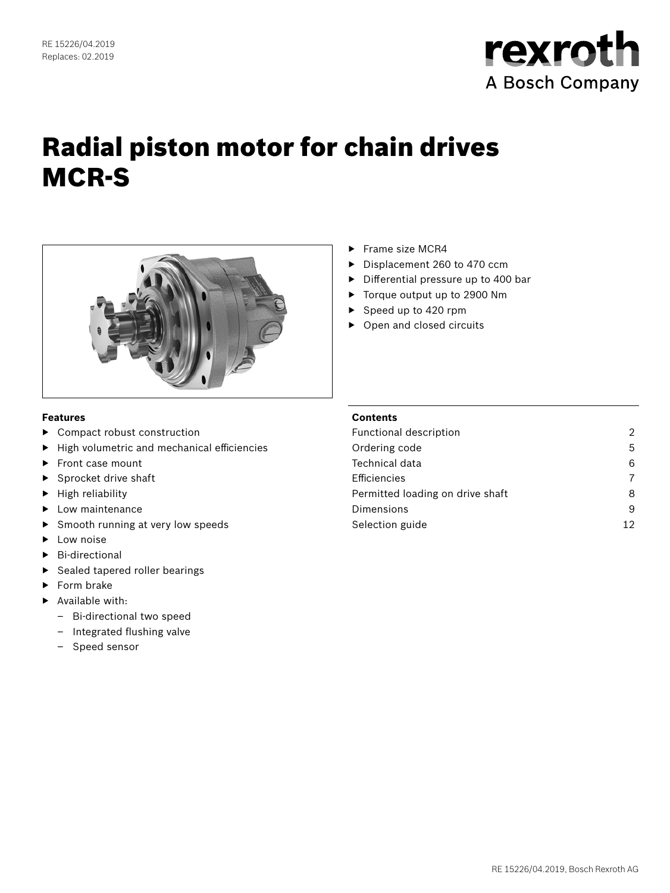

# Radial piston motor for chain drives MCR-S



#### **Features**

- ▶ Compact robust construction
- ▶ High volumetric and mechanical efficiencies
- ▶ Front case mount
- Sprocket drive shaft
- ▶ High reliability
- ▶ Low maintenance
- Smooth running at very low speeds
- ▶ Low noise
- ▶ Bi-directional
- ▶ Sealed tapered roller bearings
- ▶ Form brake
- ▶ Available with:
	- Bi-directional two speed
	- Integrated flushing valve
	- Speed sensor
- ▶ Frame size MCR4
- ▶ Displacement 260 to 470 ccm
- ▶ Differential pressure up to 400 bar
- ▶ Torque output up to 2900 Nm
- ▶ Speed up to 420 rpm
- ▶ Open and closed circuits

## **Contents**

| Functional description           | 2  |
|----------------------------------|----|
| Ordering code                    | 5  |
| Technical data                   | 6  |
| Efficiencies                     | 7  |
| Permitted loading on drive shaft | 8  |
| Dimensions                       | 9  |
| Selection guide                  | 12 |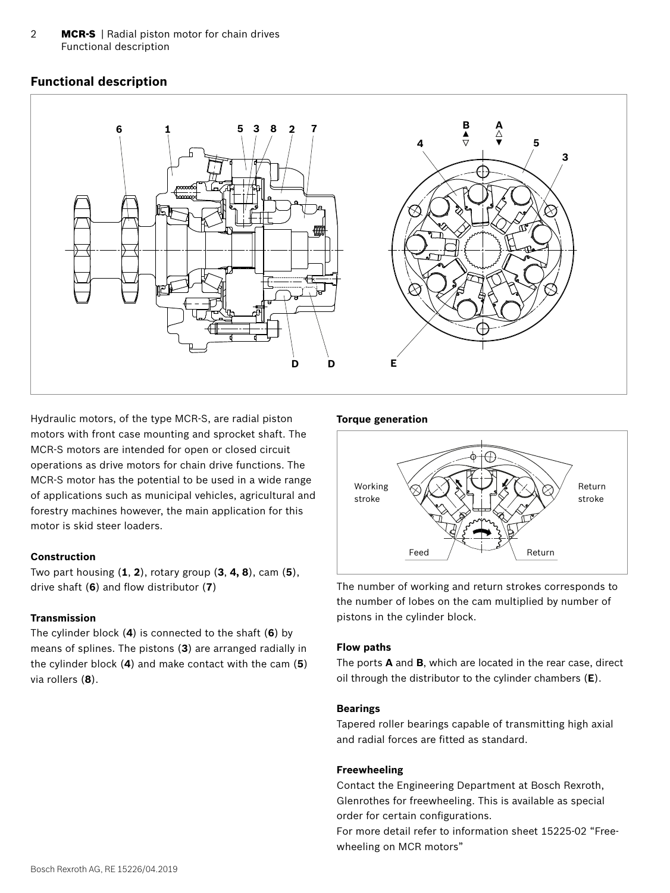<span id="page-1-0"></span>2 **MCR-S** | Radial piston motor for chain drives Functional description

# **Functional description**



Hydraulic motors, of the type MCR-S, are radial piston motors with front case mounting and sprocket shaft. The MCR-S motors are intended for open or closed circuit operations as drive motors for chain drive functions. The MCR-S motor has the potential to be used in a wide range of applications such as municipal vehicles, agricultural and forestry machines however, the main application for this motor is skid steer loaders.

#### **Construction**

Two part housing (**1**, **2**), rotary group (**3**, **4, 8**), cam (**5**), drive shaft (**6**) and flow distributor (**7**)

#### **Transmission**

The cylinder block (**4**) is connected to the shaft (**6**) by means of splines. The pistons (**3**) are arranged radially in the cylinder block (**4**) and make contact with the cam (**5**) via rollers (**8**).

#### **Torque generation**



The number of working and return strokes corresponds to the number of lobes on the cam multiplied by number of pistons in the cylinder block.

#### **Flow paths**

The ports **A** and **B**, which are located in the rear case, direct oil through the distributor to the cylinder chambers (**E**).

#### **Bearings**

Tapered roller bearings capable of transmitting high axial and radial forces are fitted as standard.

#### **Freewheeling**

Contact the Engineering Department at Bosch Rexroth, Glenrothes for freewheeling. This is available as special order for certain configurations.

For more detail refer to information sheet 15225-02 "Freewheeling on MCR motors"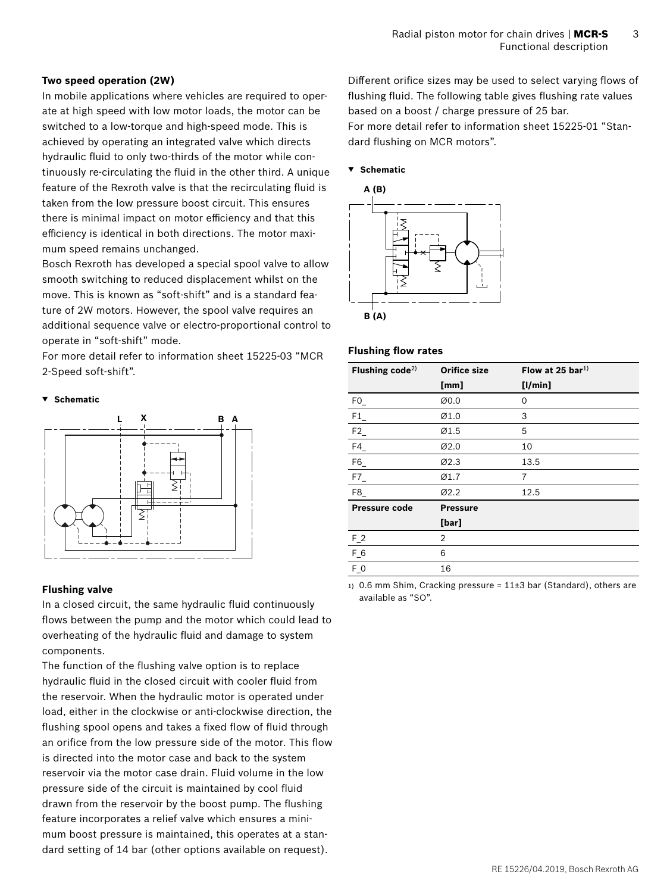#### **Two speed operation (2W)**

In mobile applications where vehicles are required to operate at high speed with low motor loads, the motor can be switched to a low-torque and high-speed mode. This is achieved by operating an integrated valve which directs hydraulic fluid to only two-thirds of the motor while continuously re-circulating the fluid in the other third. A unique feature of the Rexroth valve is that the recirculating fluid is taken from the low pressure boost circuit. This ensures there is minimal impact on motor efficiency and that this efficiency is identical in both directions. The motor maximum speed remains unchanged.

Bosch Rexroth has developed a special spool valve to allow smooth switching to reduced displacement whilst on the move. This is known as "soft-shift" and is a standard feature of 2W motors. However, the spool valve requires an additional sequence valve or electro-proportional control to operate in "soft-shift" mode.

For more detail refer to information sheet 15225-03 "MCR 2-Speed soft-shift".

#### **▼ Schematic**



#### **Flushing valve**

In a closed circuit, the same hydraulic fluid continuously flows between the pump and the motor which could lead to overheating of the hydraulic fluid and damage to system components.

The function of the flushing valve option is to replace hydraulic fluid in the closed circuit with cooler fluid from the reservoir. When the hydraulic motor is operated under load, either in the clockwise or anti-clockwise direction, the flushing spool opens and takes a fixed flow of fluid through an orifice from the low pressure side of the motor. This flow is directed into the motor case and back to the system reservoir via the motor case drain. Fluid volume in the low pressure side of the circuit is maintained by cool fluid drawn from the reservoir by the boost pump. The flushing feature incorporates a relief valve which ensures a minimum boost pressure is maintained, this operates at a standard setting of 14 bar (other options available on request).

Different orifice sizes may be used to select varying flows of flushing fluid. The following table gives flushing rate values based on a boost / charge pressure of 25 bar. For more detail refer to information sheet 15225-01 "Standard flushing on MCR motors".

#### **▼ Schematic**



#### **Flushing flow rates**

| Flushing code <sup>2)</sup> | <b>Orifice size</b> | Flow at 25 bar <sup>1)</sup> |
|-----------------------------|---------------------|------------------------------|
|                             | [mm]                | [1/min]                      |
| F0                          | Ø0.0                | 0                            |
| F1                          | Ø1.0                | 3                            |
| ${\sf F2}_-$                | Ø1.5                | 5                            |
| F4                          | Ø2.0                | 10                           |
| F6                          | Ø2.3                | 13.5                         |
| F7                          | Ø1.7                | 7                            |
| F8                          | Ø2.2                | 12.5                         |
| Pressure code               | <b>Pressure</b>     |                              |
|                             | [bar]               |                              |
| $F_2$                       | 2                   |                              |
| $F_6$                       | 6                   |                              |
| $F_0$                       | 16                  |                              |

1) 0.6 mm Shim, Cracking pressure =  $11\pm3$  bar (Standard), others are available as "SO".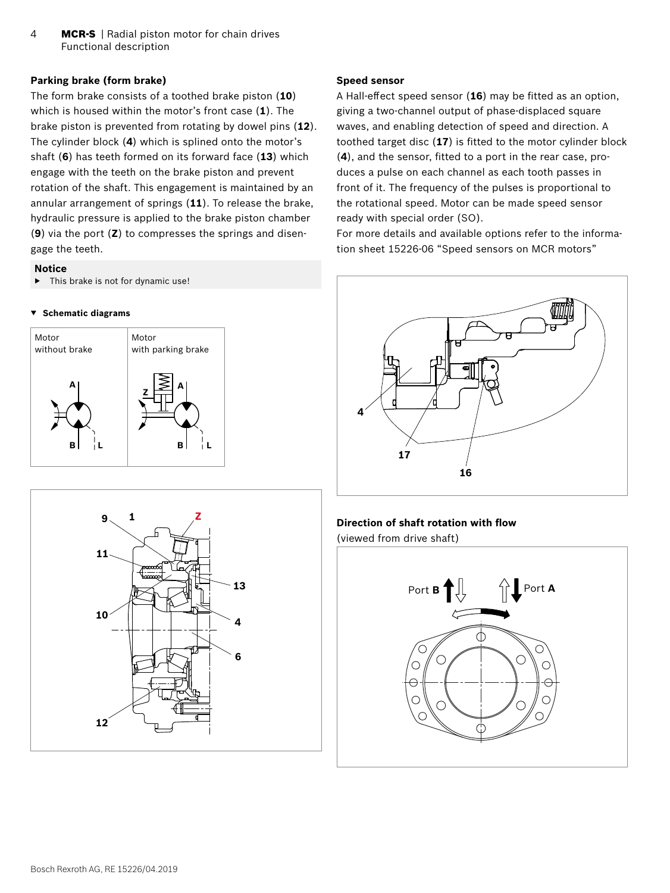4 **MCR-S** | Radial piston motor for chain drives Functional description

#### **Parking brake (form brake)**

The form brake consists of a toothed brake piston (**10**) which is housed within the motor's front case (**1**). The brake piston is prevented from rotating by dowel pins (**12**). The cylinder block (**4**) which is splined onto the motor's shaft (**6**) has teeth formed on its forward face (**13**) which engage with the teeth on the brake piston and prevent rotation of the shaft. This engagement is maintained by an annular arrangement of springs (**11**). To release the brake, hydraulic pressure is applied to the brake piston chamber (**9**) via the port (**Z**) to compresses the springs and disengage the teeth.

#### **Notice**

 $\blacktriangleright$  This brake is not for dynamic use!

#### **▼ Schematic diagrams**





#### **Speed sensor**

A Hall-effect speed sensor (**16**) may be fitted as an option, giving a two-channel output of phase-displaced square waves, and enabling detection of speed and direction. A toothed target disc (**17**) is fitted to the motor cylinder block (**4**), and the sensor, fitted to a port in the rear case, produces a pulse on each channel as each tooth passes in front of it. The frequency of the pulses is proportional to the rotational speed. Motor can be made speed sensor ready with special order (SO).

For more details and available options refer to the information sheet 15226-06 "Speed sensors on MCR motors"



#### **Direction of shaft rotation with flow**

(viewed from drive shaft)

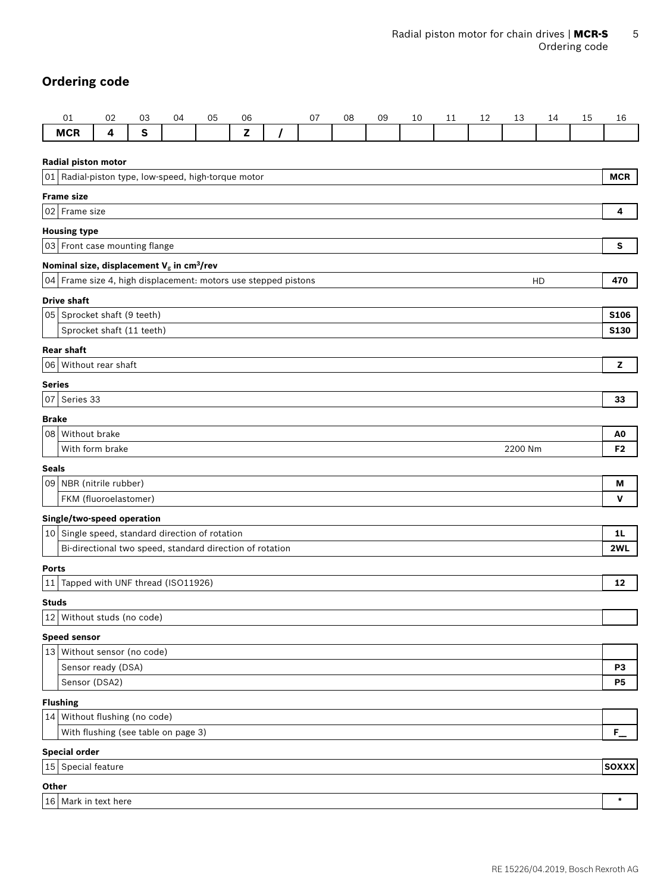# <span id="page-4-0"></span>**Ordering code**

|                     | 01                                                                                                                               | 02 | 03           | 04 | 05 | 06           |  | 07 | 08 | 09 | 10 | 11 | 12         | 13      | 14 | 15 | 16             |
|---------------------|----------------------------------------------------------------------------------------------------------------------------------|----|--------------|----|----|--------------|--|----|----|----|----|----|------------|---------|----|----|----------------|
|                     | <b>MCR</b>                                                                                                                       | 4  | $\mathbf{s}$ |    |    | $\mathbf{z}$ |  |    |    |    |    |    |            |         |    |    |                |
| Radial piston motor |                                                                                                                                  |    |              |    |    |              |  |    |    |    |    |    |            |         |    |    |                |
|                     | 01 Radial-piston type, low-speed, high-torque motor                                                                              |    |              |    |    |              |  |    |    |    |    |    | <b>MCR</b> |         |    |    |                |
|                     | <b>Frame size</b>                                                                                                                |    |              |    |    |              |  |    |    |    |    |    |            |         |    |    |                |
|                     | 02 Frame size                                                                                                                    |    |              |    |    |              |  |    |    |    |    |    |            | 4       |    |    |                |
|                     | <b>Housing type</b>                                                                                                              |    |              |    |    |              |  |    |    |    |    |    |            |         |    |    |                |
|                     | 03 Front case mounting flange                                                                                                    |    |              |    |    |              |  |    |    |    |    |    |            | s       |    |    |                |
|                     |                                                                                                                                  |    |              |    |    |              |  |    |    |    |    |    |            |         |    |    |                |
|                     | Nominal size, displacement $V_g$ in cm <sup>3</sup> /rev<br>04 Frame size 4, high displacement: motors use stepped pistons<br>HD |    |              |    |    |              |  |    |    |    |    |    | 470        |         |    |    |                |
|                     | <b>Drive shaft</b>                                                                                                               |    |              |    |    |              |  |    |    |    |    |    |            |         |    |    |                |
|                     | 05 Sprocket shaft (9 teeth)                                                                                                      |    |              |    |    |              |  |    |    |    |    |    |            |         |    |    | <b>S106</b>    |
|                     | Sprocket shaft (11 teeth)                                                                                                        |    |              |    |    |              |  |    |    |    |    |    |            |         |    |    | <b>S130</b>    |
|                     | <b>Rear shaft</b>                                                                                                                |    |              |    |    |              |  |    |    |    |    |    |            |         |    |    |                |
|                     | 06 Without rear shaft                                                                                                            |    |              |    |    |              |  |    |    |    |    |    |            |         |    |    | z              |
| <b>Series</b>       |                                                                                                                                  |    |              |    |    |              |  |    |    |    |    |    |            |         |    |    |                |
|                     | 07 Series 33                                                                                                                     |    |              |    |    |              |  |    |    |    |    |    |            |         |    |    | 33             |
| <b>Brake</b>        |                                                                                                                                  |    |              |    |    |              |  |    |    |    |    |    |            |         |    |    |                |
|                     | 08 Without brake                                                                                                                 |    |              |    |    |              |  |    |    |    |    |    |            |         |    |    | A0             |
|                     | With form brake                                                                                                                  |    |              |    |    |              |  |    |    |    |    |    |            | 2200 Nm |    |    | F <sub>2</sub> |
| <b>Seals</b>        |                                                                                                                                  |    |              |    |    |              |  |    |    |    |    |    |            |         |    |    |                |
|                     | 09   NBR (nitrile rubber)                                                                                                        |    |              |    |    |              |  |    |    |    |    |    |            |         |    |    | M              |
|                     | FKM (fluoroelastomer)                                                                                                            |    |              |    |    |              |  |    |    |    |    |    |            |         |    |    | V              |
|                     | Single/two-speed operation                                                                                                       |    |              |    |    |              |  |    |    |    |    |    |            |         |    |    |                |
|                     | $ 10 $ Single speed, standard direction of rotation                                                                              |    |              |    |    |              |  |    |    |    |    |    |            |         |    |    | 1 <sub>L</sub> |
|                     | Bi-directional two speed, standard direction of rotation                                                                         |    |              |    |    |              |  |    |    |    |    |    |            |         |    |    | 2WL            |
| <b>Ports</b>        |                                                                                                                                  |    |              |    |    |              |  |    |    |    |    |    |            |         |    |    |                |
|                     | 11 Tapped with UNF thread (ISO11926)                                                                                             |    |              |    |    |              |  |    |    |    |    |    |            |         |    |    | 12             |
| <b>Studs</b>        |                                                                                                                                  |    |              |    |    |              |  |    |    |    |    |    |            |         |    |    |                |
|                     | 12 Without studs (no code)                                                                                                       |    |              |    |    |              |  |    |    |    |    |    |            |         |    |    |                |
|                     | <b>Speed sensor</b>                                                                                                              |    |              |    |    |              |  |    |    |    |    |    |            |         |    |    |                |
|                     | 13 Without sensor (no code)                                                                                                      |    |              |    |    |              |  |    |    |    |    |    |            |         |    |    |                |
|                     | Sensor ready (DSA)                                                                                                               |    |              |    |    |              |  |    |    |    |    |    |            |         |    |    | P3             |
|                     | Sensor (DSA2)                                                                                                                    |    |              |    |    |              |  |    |    |    |    |    |            |         |    |    | <b>P5</b>      |
|                     | <b>Flushing</b>                                                                                                                  |    |              |    |    |              |  |    |    |    |    |    |            |         |    |    |                |
|                     | 14 Without flushing (no code)                                                                                                    |    |              |    |    |              |  |    |    |    |    |    |            |         |    |    |                |
|                     | With flushing (see table on page 3)                                                                                              |    |              |    |    |              |  |    |    |    |    |    |            |         |    |    | $F_{\perp}$    |
|                     | <b>Special order</b>                                                                                                             |    |              |    |    |              |  |    |    |    |    |    |            |         |    |    |                |
|                     | 15 Special feature                                                                                                               |    |              |    |    |              |  |    |    |    |    |    |            |         |    |    | <b>SOXXX</b>   |
| Other               |                                                                                                                                  |    |              |    |    |              |  |    |    |    |    |    |            |         |    |    |                |
|                     | 16 Mark in text here                                                                                                             |    |              |    |    |              |  |    |    |    |    |    |            |         |    |    | $\star$        |
|                     |                                                                                                                                  |    |              |    |    |              |  |    |    |    |    |    |            |         |    |    |                |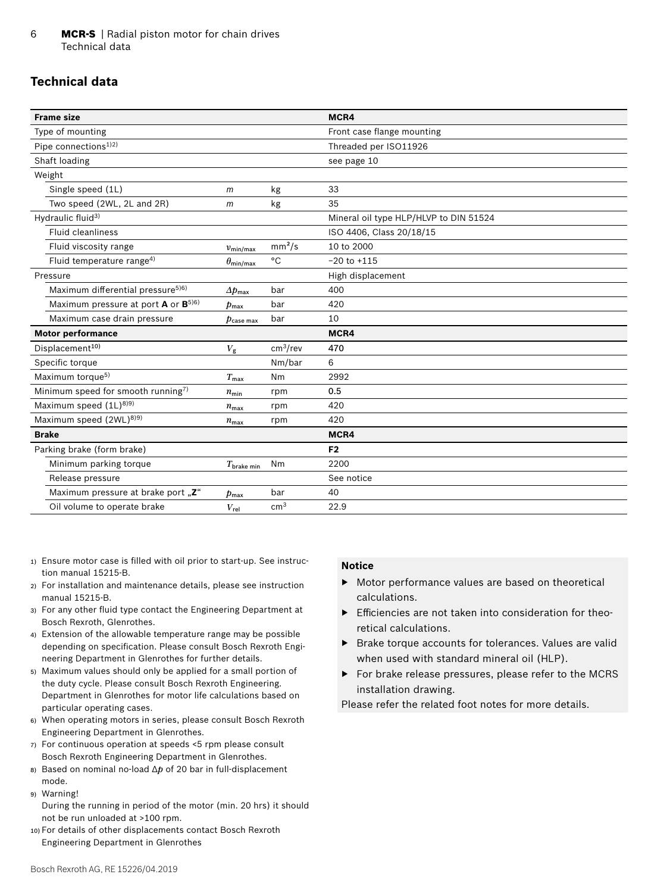# <span id="page-5-0"></span>**Technical data**

|                          |                      | MCR4                                   |
|--------------------------|----------------------|----------------------------------------|
|                          |                      | Front case flange mounting             |
|                          |                      | Threaded per ISO11926                  |
|                          |                      | see page 10                            |
|                          |                      |                                        |
| $m$                      | kg                   | 33                                     |
| m                        | kg                   | 35                                     |
|                          |                      | Mineral oil type HLP/HLVP to DIN 51524 |
|                          |                      | ISO 4406, Class 20/18/15               |
| $v_{\text{min/max}}$     | mm <sup>2</sup> /s   | 10 to 2000                             |
| $\theta_{\sf min/max}$   | $^{\circ}$ C         | $-20$ to $+115$                        |
|                          |                      | High displacement                      |
| $\Delta p_{\text{max}}$  | bar                  | 400                                    |
| $p_{\text{max}}$         | bar                  | 420                                    |
| $p_{\mathsf{case\,max}}$ | bar                  | 10                                     |
|                          |                      | MCR4                                   |
| $V_{\rm g}$              | cm <sup>3</sup> /rev | 470                                    |
|                          | Nm/bar               | 6                                      |
| $T_{\text{max}}$         | Nm                   | 2992                                   |
| $n_{\min}$               | rpm                  | 0.5                                    |
| $n_{\text{max}}$         | rpm                  | 420                                    |
| $n_{\text{max}}$         | rpm                  | 420                                    |
|                          |                      | MCR4                                   |
|                          |                      | F <sub>2</sub>                         |
| $T_{\text{brake min}}$   | Nm                   | 2200                                   |
|                          |                      | See notice                             |
| $p_{\text{max}}$         | bar                  | 40                                     |
| $V_{\rm rel}$            | cm <sup>3</sup>      | 22.9                                   |
|                          |                      |                                        |

- 1) Ensure motor case is filled with oil prior to start-up. See instruction manual 15215-B.
- 2) For installation and maintenance details, please see instruction manual 15215-B.
- 3) For any other fluid type contact the Engineering Department at Bosch Rexroth, Glenrothes.
- 4) Extension of the allowable temperature range may be possible depending on specification. Please consult Bosch Rexroth Engineering Department in Glenrothes for further details.
- 5) Maximum values should only be applied for a small portion of the duty cycle. Please consult Bosch Rexroth Engineering. Department in Glenrothes for motor life calculations based on particular operating cases.
- 6) When operating motors in series, please consult Bosch Rexroth Engineering Department in Glenrothes.
- 7) For continuous operation at speeds <5 rpm please consult Bosch Rexroth Engineering Department in Glenrothes.
- 8) Based on nominal no-load Δ*p* of 20 bar in full-displacement mode.
- 9) Warning!
- During the running in period of the motor (min. 20 hrs) it should not be run unloaded at >100 rpm.
- 10) For details of other displacements contact Bosch Rexroth Engineering Department in Glenrothes

#### **Notice**

- ▶ Motor performance values are based on theoretical calculations.
- ▶ Efficiencies are not taken into consideration for theoretical calculations.
- ▶ Brake torque accounts for tolerances. Values are valid when used with standard mineral oil (HLP).
- ▶ For brake release pressures, please refer to the MCRS installation drawing.

Please refer the related foot notes for more details.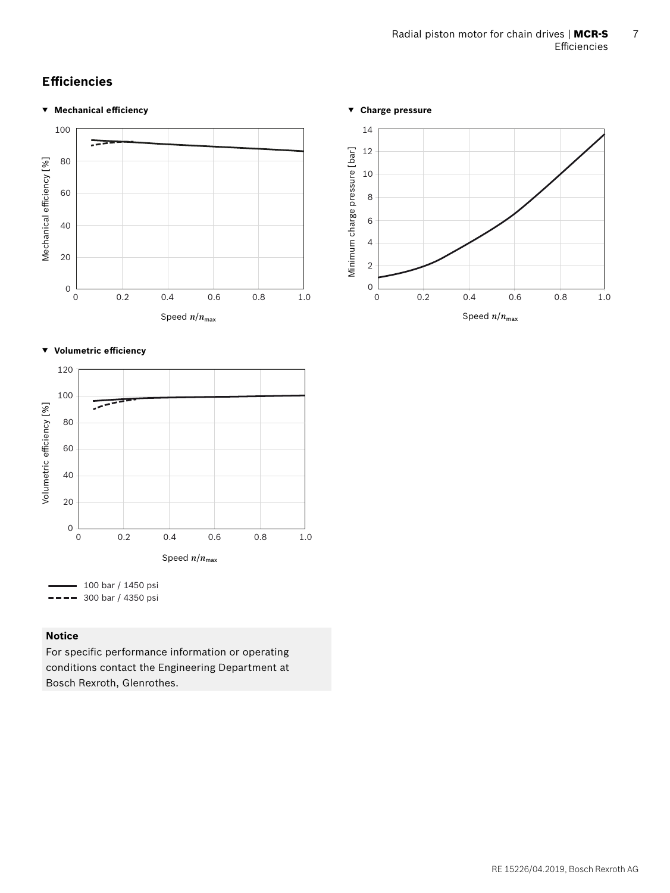# <span id="page-6-0"></span>**Efficiencies**

#### **▼ Mechanical efficiency**



#### **▼ Volumetric efficiency**



## **Notice**

For specific performance information or operating conditions contact the Engineering Department at Bosch Rexroth, Glenrothes.



Speed  $n/n_{\text{max}}$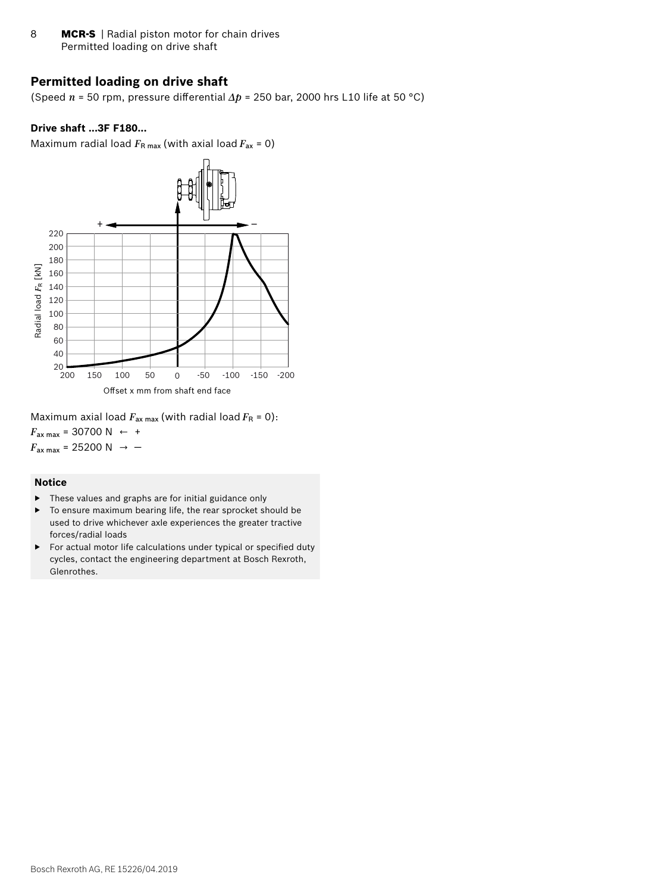<span id="page-7-0"></span>8 **MCR-S** | Radial piston motor for chain drives Permitted loading on drive shaft

## **Permitted loading on drive shaft**

(Speed *n* = 50 rpm, pressure differential *Δp* = 250 bar, 2000 hrs L10 life at 50 °C)

#### **Drive shaft ...3F F180...**

Maximum radial load  $F_{\rm R \, max}$  (with axial load  $F_{\rm ax}$  = 0)



Maximum axial load  $F_{\text{ax max}}$  (with radial load  $F_{\text{R}} = 0$ ):  $F_{\text{ax max}} = 30700 \text{ N } \leftarrow +$  $F_{\text{ax max}}$  = 25200 N  $\rightarrow$  -

#### **Notice**

- ▶ These values and graphs are for initial guidance only
- ▶ To ensure maximum bearing life, the rear sprocket should be used to drive whichever axle experiences the greater tractive forces/radial loads
- ▶ For actual motor life calculations under typical or specified duty cycles, contact the engineering department at Bosch Rexroth, Glenrothes.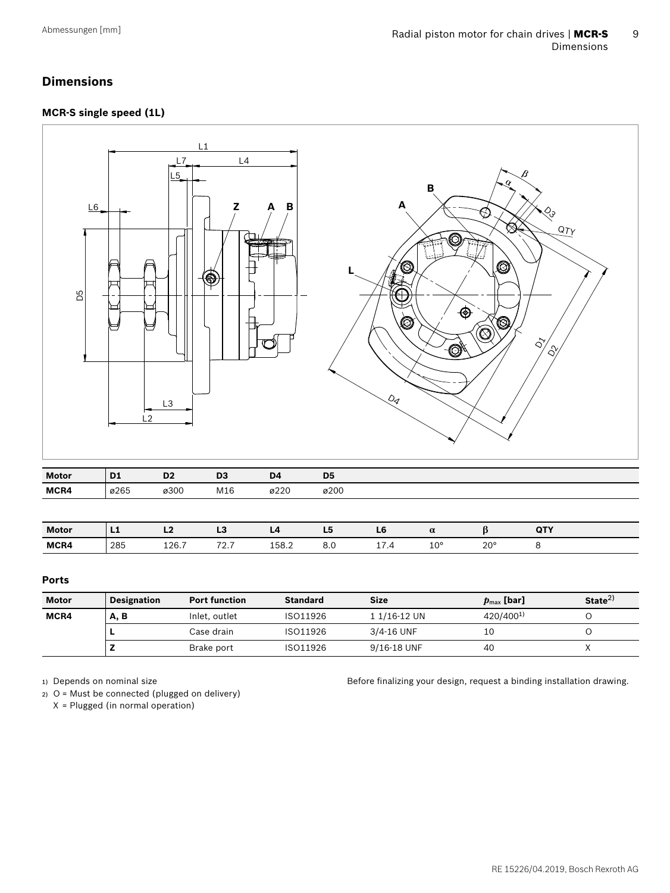# <span id="page-8-0"></span>**Dimensions**

### **MCR-S single speed (1L)**



| Ports |  |
|-------|--|

| Motor | <b>Designation</b><br><b>Port function</b> |               | <b>Standard</b><br><b>Size</b> |              | $\boldsymbol{p}_{\text{max}}$ [bar] | State <sup>2</sup> |
|-------|--------------------------------------------|---------------|--------------------------------|--------------|-------------------------------------|--------------------|
| MCR4  | A, B                                       | Inlet, outlet | ISO11926                       | 1 1/16-12 UN | 420/400 <sup>1)</sup>               |                    |
|       |                                            | Case drain-   | ISO11926                       | 3/4-16 UNF   | 10                                  |                    |
|       |                                            | Brake port    | ISO11926                       | 9/16-18 UNF  | 40                                  |                    |

1) Depends on nominal size

2) O = Must be connected (plugged on delivery) X = Plugged (in normal operation)

Before finalizing your design, request a binding installation drawing.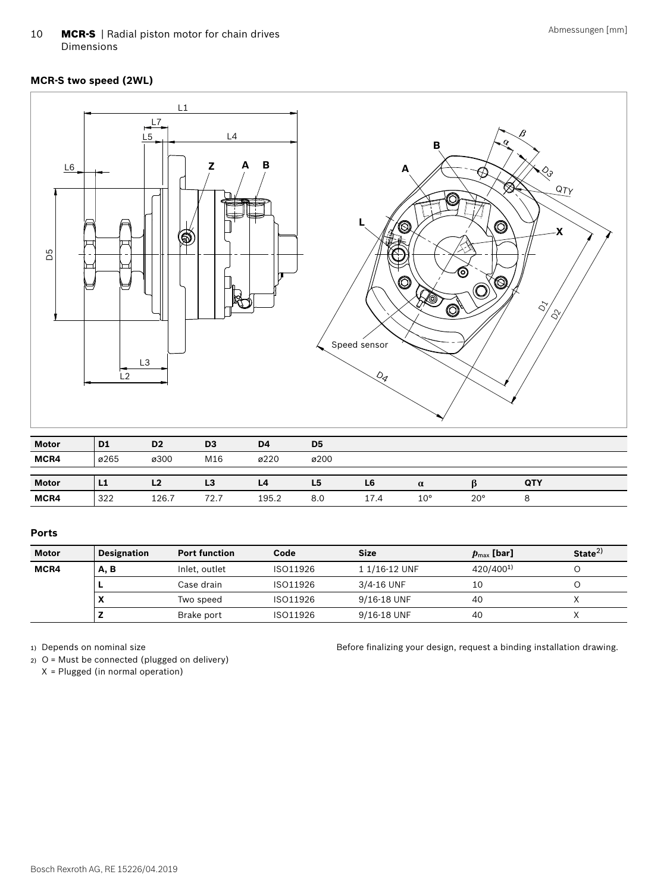10 **MCR-S** | Radial piston motor for chain drives Dimensions

#### **MCR-S two speed (2WL)**



#### **Ports**

| <b>Motor</b> | <b>Designation</b> | <b>Port function</b> | Code     | <b>Size</b>   | $p_{\text{max}}$ [bar] | State $^{2)}$ |
|--------------|--------------------|----------------------|----------|---------------|------------------------|---------------|
| MCR4         | A, B               | Inlet, outlet        | ISO11926 | 1 1/16-12 UNF | 420/400 <sup>1)</sup>  |               |
|              |                    | Case drain-          | ISO11926 | 3/4-16 UNF    | 10                     |               |
|              | $\lambda$          | Two speed            | ISO11926 | 9/16-18 UNF   | 40                     |               |
|              |                    | Brake port           | ISO11926 | 9/16-18 UNF   | 40                     |               |

Before finalizing your design, request a binding installation drawing.

1) Depends on nominal size

2) O = Must be connected (plugged on delivery)

X = Plugged (in normal operation)

Bosch Rexroth AG, RE 15226/04.2019